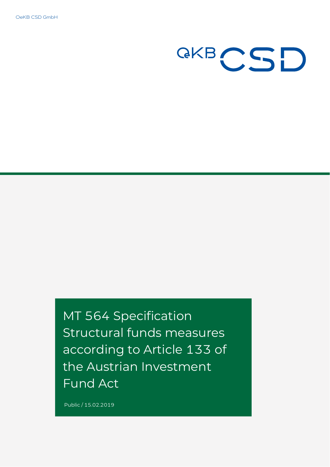OeKB CSD GmbH



MT 564 Specification Structural funds measures according to Article 133 of the Austrian Investment Fund Act

Public / 15.02.2019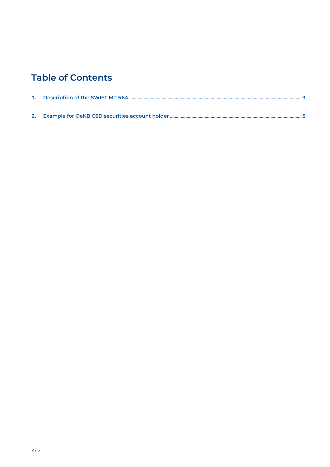## **Table of Contents**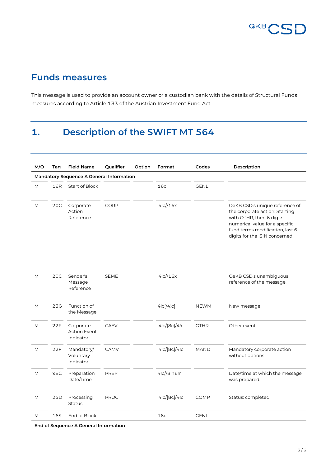

## **Funds measures**

This message is used to provide an account owner or a custodian bank with the details of Structural Funds measures according to Article 133 of the Austrian Investment Fund Act.

# <span id="page-2-0"></span>**1. Description of the SWIFT MT 564**

| M/O | Tag | <b>Field Name</b>                               | Qualifier   | Option | Format        | Codes       | Description                                                                                                                                                                                         |
|-----|-----|-------------------------------------------------|-------------|--------|---------------|-------------|-----------------------------------------------------------------------------------------------------------------------------------------------------------------------------------------------------|
|     |     | <b>Mandatory Sequence A General Information</b> |             |        |               |             |                                                                                                                                                                                                     |
| M   | 16R | <b>Start of Block</b>                           |             |        | 16c           | <b>GENL</b> |                                                                                                                                                                                                     |
| M   | 20C | Corporate<br>Action<br>Reference                | CORP        |        | :4!c//16x     |             | OeKB CSD's unique reference of<br>the corporate action: Starting<br>with OTHR, then 6 digits<br>numerical value for a specific<br>fund terms modification, last 6<br>digits for the ISIN concerned. |
| M   | 20C | Sender's<br>Message<br>Reference                | <b>SEME</b> |        | :4!c//16x     |             | OeKB CSD's unambiguous<br>reference of the message.                                                                                                                                                 |
| M   | 23G | Function of<br>the Message                      |             |        | 4!c[/4!c]     | <b>NEWM</b> | New message                                                                                                                                                                                         |
| M   | 22F | Corporate<br><b>Action Event</b><br>Indicator   | <b>CAEV</b> |        | :4!c/[8c]/4!c | <b>OTHR</b> | Other event                                                                                                                                                                                         |
| M   | 22F | Mandatory/<br>Voluntary<br>Indicator            | CAMV        |        | :4!c/[8c]/4!c | <b>MAND</b> | Mandatory corporate action<br>without options                                                                                                                                                       |
| M   | 98C | Preparation<br>Date/Time                        | PREP        |        | 4!c//8!n6!n   |             | Date/time at which the message<br>was prepared.                                                                                                                                                     |
| M   | 25D | Processing<br><b>Status</b>                     | <b>PROC</b> |        | :4!c/[8c]/4!c | <b>COMP</b> | Status: completed                                                                                                                                                                                   |
| M   | 16S | End of Block                                    |             |        | 16c           | <b>GENL</b> |                                                                                                                                                                                                     |
|     |     | End of Sequence A General Information           |             |        |               |             |                                                                                                                                                                                                     |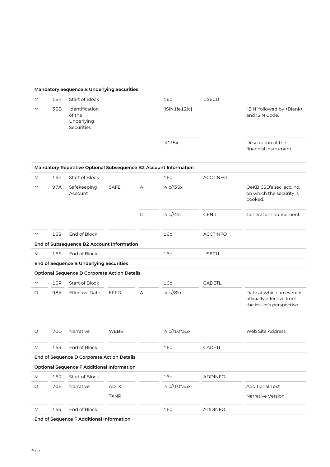#### **Mandatory Sequence B Underlying Securities**

| М          | 16R        | Start of Block                                       |             |              | 16c                                                              | <b>USECU</b>    |                                                                                     |
|------------|------------|------------------------------------------------------|-------------|--------------|------------------------------------------------------------------|-----------------|-------------------------------------------------------------------------------------|
| M          | 35B        | Identification<br>of the<br>Underlying<br>Securities |             |              | [ISIN1!e12!c]                                                    |                 | 'ISIN' followed by <blank><br/>and ISIN Code.</blank>                               |
|            |            |                                                      |             |              | $[4*35x]$                                                        |                 | Description of the<br>financial instrument.                                         |
|            |            |                                                      |             |              | Mandatory Repetitive Optional Subsequence B2 Account Information |                 |                                                                                     |
| M          | 16R        | Start of Block                                       |             |              | 16c                                                              | <b>ACCTINFO</b> |                                                                                     |
| M          | 97A        | Safekeeping<br>Account                               | <b>SAFE</b> | A            | :4!c//35x                                                        |                 | OeKB CSD's sec. acc. no.<br>on which the security is<br>booked.                     |
|            |            |                                                      |             | $\mathsf{C}$ | :4!c//4!c                                                        | <b>GENR</b>     | General announcement                                                                |
| M          | 16S        | End of Block                                         |             |              | 16c                                                              | <b>ACCTINFO</b> |                                                                                     |
|            |            | End of Subsequence B2 Account Information            |             |              |                                                                  |                 |                                                                                     |
| M          | 16S        | End of Block                                         |             |              | 16c                                                              | USECU           |                                                                                     |
|            |            | End of Sequence B Underlying Securities              |             |              |                                                                  |                 |                                                                                     |
|            |            | <b>Optional Sequence D Corporate Action Details</b>  |             |              |                                                                  |                 |                                                                                     |
| M          | 16R        | Start of Block                                       |             |              | 16c                                                              | <b>CADETL</b>   |                                                                                     |
| O          | 98A        | <b>Effective Date</b>                                | <b>EFFD</b> | A            | :4!c//8!n                                                        |                 | Date at which an event is<br>officially effective from<br>the issuer's perspective. |
| O          | 70G        | Narrative                                            | <b>WEBB</b> |              | :4!c//10*35x                                                     |                 | Web Site Address                                                                    |
| M          | 16S        | End of Block                                         |             |              | 16c                                                              | CADETL          |                                                                                     |
|            |            | End of Sequence D Corporate Action Details           |             |              |                                                                  |                 |                                                                                     |
|            |            | <b>Optional Sequence F Additional Information</b>    |             |              |                                                                  |                 |                                                                                     |
| M          | 16R        | Start of Block                                       |             |              | 16c                                                              | <b>ADDINFO</b>  |                                                                                     |
| $\bigcirc$ | <b>70E</b> | Narrative                                            | <b>ADTX</b> |              | :4!c//10*35x                                                     |                 | <b>Additional Text</b>                                                              |
|            |            |                                                      | <b>TXNR</b> |              |                                                                  |                 | Narrative Version                                                                   |
| M          | 16S        | End of Block                                         |             |              | 16c                                                              | <b>ADDINFO</b>  |                                                                                     |
|            |            | End of Sequence F Additional Information             |             |              |                                                                  |                 |                                                                                     |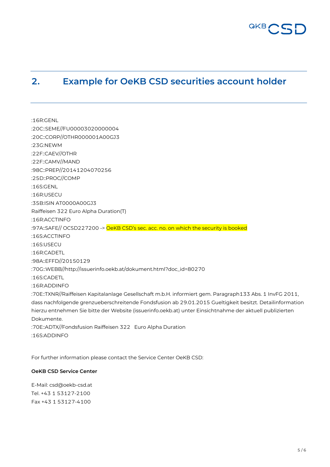

## <span id="page-4-0"></span>**2. Example for OeKB CSD securities account holder**

:16R:GENL :20C::SEME//FU00003020000004 :20C::CORP//OTHR000001A00GJ3 :23G:NEWM :22F::CAEV//OTHR :22F::CAMV//MAND :98C::PREP//20141204070256 :25D::PROC//COMP :16S:GENL :16R:USECU :35B:ISIN AT0000A00GJ3 Raiffeisen 322 Euro Alpha Duration(T) :16R:ACCTINFO :97A::SAFE// OCSD227200 -> OeKB CSD's sec. acc. no. on which the security is booked :16S:ACCTINFO :16S:USECU :16R:CADETL :98A::EFFD//20150129 :70G::WEBB//http://issuerinfo.oekb.at/dokument.html?doc\_id=80270 :16S:CADETL :16R:ADDINFO :70E::TXNR//Raiffeisen Kapitalanlage Gesellschaft m.b.H. informiert gem. Paragraph133 Abs. 1 InvFG 2011, dass nachfolgende grenzueberschreitende Fondsfusion ab 29.01.2015 Gueltigkeit besitzt. Detailinformation hierzu entnehmen Sie bitte der Website (issuerinfo.oekb.at) unter Einsichtnahme der aktuell publizierten Dokumente. :70E::ADTX//Fondsfusion Raiffeisen 322 Euro Alpha Duration :16S:ADDINFO

For further information please contact the Service Center OeKB CSD:

#### **OeKB CSD Service Center**

E-Mail: csd@oekb-csd.at Tel. +43 1 53127-2100 Fax +43 1 53127-4100